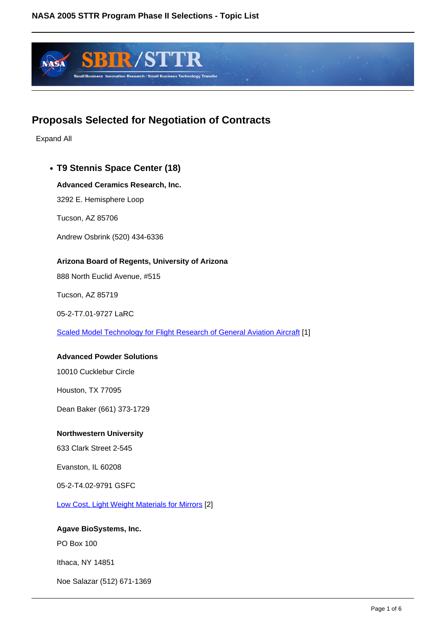

# **Proposals Selected for Negotiation of Contracts**

Expand All

# **T9 Stennis Space Center (18)**

## **Advanced Ceramics Research, Inc.**

3292 E. Hemisphere Loop

Tucson, AZ 85706

Andrew Osbrink (520) 434-6336

## **Arizona Board of Regents, University of Arizona**

888 North Euclid Avenue, #515

Tucson, AZ 85719

05-2-T7.01-9727 LaRC

Scaled Model Technology for Flight Research of General Aviation Aircraft [1]

#### **Advanced Powder Solutions**

10010 Cucklebur Circle

Houston, TX 77095

Dean Baker (661) 373-1729

## **Northwestern University**

633 Clark Street 2-545

Evanston, IL 60208

05-2-T4.02-9791 GSFC

Low Cost, Light Weight Materials for Mirrors [2]

## **Agave BioSystems, Inc.**

PO Box 100

Ithaca, NY 14851

Noe Salazar (512) 671-1369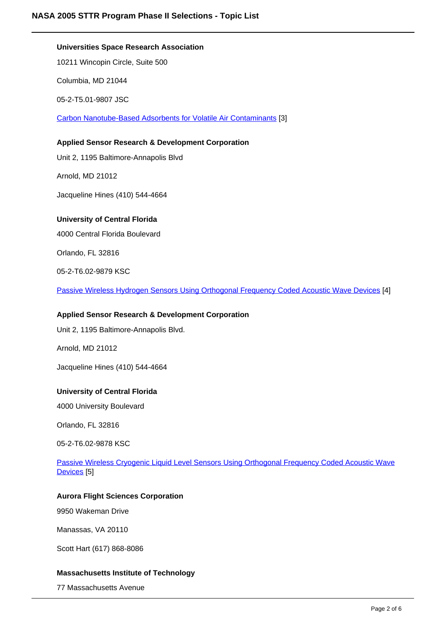# **Universities Space Research Association**

10211 Wincopin Circle, Suite 500

Columbia, MD 21044

05-2-T5.01-9807 JSC

Carbon Nanotube-Based Adsorbents for Volatile Air Contaminants [3]

**Applied Sensor Research & Development Corporation**

Unit 2, 1195 Baltimore-Annapolis Blvd

Arnold, MD 21012

Jacqueline Hines (410) 544-4664

# **University of Central Florida**

4000 Central Florida Boulevard

Orlando, FL 32816

05-2-T6.02-9879 KSC

Passive Wireless Hydrogen Sensors Using Orthogonal Frequency Coded Acoustic Wave Devices [4]

# **Applied Sensor Research & Development Corporation**

Unit 2, 1195 Baltimore-Annapolis Blvd.

Arnold, MD 21012

Jacqueline Hines (410) 544-4664

## **University of Central Florida**

4000 University Boulevard

Orlando, FL 32816

05-2-T6.02-9878 KSC

Passive Wireless Cryogenic Liquid Level Sensors Using Orthogonal Frequency Coded Acoustic Wave Devices [5]

# **Aurora Flight Sciences Corporation**

9950 Wakeman Drive

Manassas, VA 20110

Scott Hart (617) 868-8086

## **Massachusetts Institute of Technology**

77 Massachusetts Avenue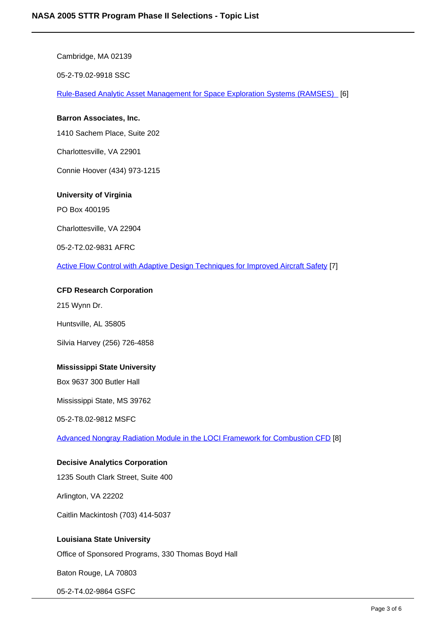Cambridge, MA 02139 05-2-T9.02-9918 SSC Rule-Based Analytic Asset Management for Space Exploration Systems (RAMSES) [6] **Barron Associates, Inc.** 1410 Sachem Place, Suite 202 Charlottesville, VA 22901 Connie Hoover (434) 973-1215 **University of Virginia** PO Box 400195 Charlottesville, VA 22904 05-2-T2.02-9831 AFRC Active Flow Control with Adaptive Design Techniques for Improved Aircraft Safety [7]

#### **CFD Research Corporation**

215 Wynn Dr.

Huntsville, AL 35805

Silvia Harvey (256) 726-4858

#### **Mississippi State University**

Box 9637 300 Butler Hall

Mississippi State, MS 39762

05-2-T8.02-9812 MSFC

Advanced Nongray Radiation Module in the LOCI Framework for Combustion CFD [8]

#### **Decisive Analytics Corporation**

1235 South Clark Street, Suite 400

Arlington, VA 22202

Caitlin Mackintosh (703) 414-5037

# **Louisiana State University**

Office of Sponsored Programs, 330 Thomas Boyd Hall

Baton Rouge, LA 70803

05-2-T4.02-9864 GSFC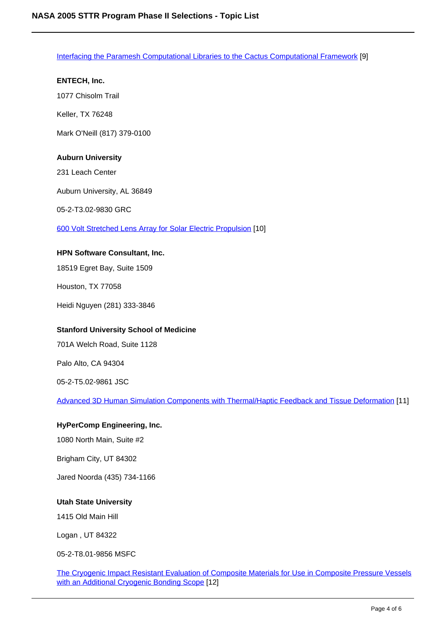Interfacing the Paramesh Computational Libraries to the Cactus Computational Framework [9]

1077 Chisolm Trail

**ENTECH, Inc.**

Keller, TX 76248

Mark O'Neill (817) 379-0100

# **Auburn University**

231 Leach Center

Auburn University, AL 36849

05-2-T3.02-9830 GRC

600 Volt Stretched Lens Array for Solar Electric Propulsion [10]

## **HPN Software Consultant, Inc.**

18519 Egret Bay, Suite 1509

Houston, TX 77058

Heidi Nguyen (281) 333-3846

## **Stanford University School of Medicine**

701A Welch Road, Suite 1128

Palo Alto, CA 94304

05-2-T5.02-9861 JSC

Advanced 3D Human Simulation Components with Thermal/Haptic Feedback and Tissue Deformation [11]

## **HyPerComp Engineering, Inc.**

1080 North Main, Suite #2

Brigham City, UT 84302

Jared Noorda (435) 734-1166

## **Utah State University**

1415 Old Main Hill

Logan , UT 84322

05-2-T8.01-9856 MSFC

The Cryogenic Impact Resistant Evaluation of Composite Materials for Use in Composite Pressure Vessels with an Additional Cryogenic Bonding Scope [12]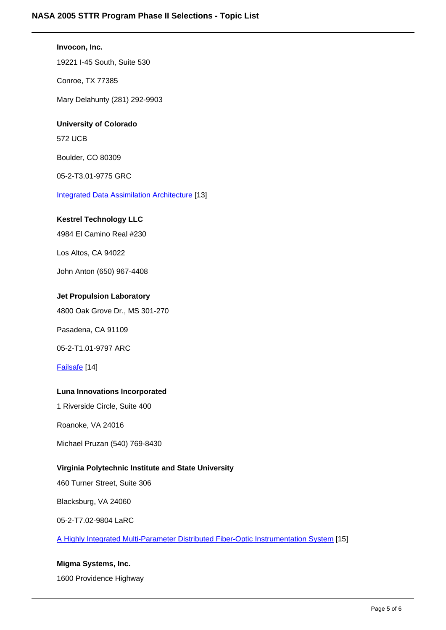**Invocon, Inc.** 19221 I-45 South, Suite 530 Conroe, TX 77385 Mary Delahunty (281) 292-9903 **University of Colorado** 572 UCB Boulder, CO 80309 05-2-T3.01-9775 GRC Integrated Data Assimilation Architecture [13] **Kestrel Technology LLC** 4984 El Camino Real #230 Los Altos, CA 94022 John Anton (650) 967-4408 **Jet Propulsion Laboratory** 4800 Oak Grove Dr., MS 301-270 Pasadena, CA 91109 05-2-T1.01-9797 ARC Failsafe [14] **Luna Innovations Incorporated** 1 Riverside Circle, Suite 400 Roanoke, VA 24016 Michael Pruzan (540) 769-8430 **Virginia Polytechnic Institute and State University** 460 Turner Street, Suite 306

Blacksburg, VA 24060

05-2-T7.02-9804 LaRC

A Highly Integrated Multi-Parameter Distributed Fiber-Optic Instrumentation System [15]

# **Migma Systems, Inc.**

1600 Providence Highway